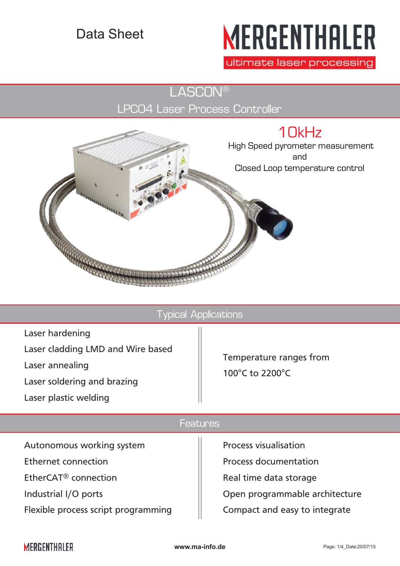# Data Sheet

# **MERGENTHALER**

ultimate laser processing

LASCON®

LPC04 Laser Process Controller



Typical Applications



## Features

Autonomous working system Ethernet connection EtherCAT® connection Industrial I/O ports Flexible process script programming

Process visualisation Process documentation Real time data storage Open programmable architecture Compact and easy to integrate

# **MERGENTHALER**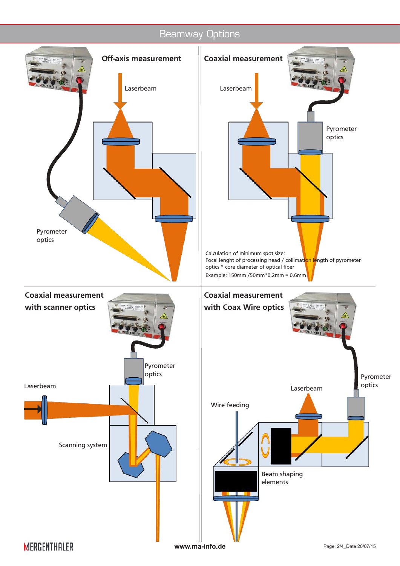# Beamway Options

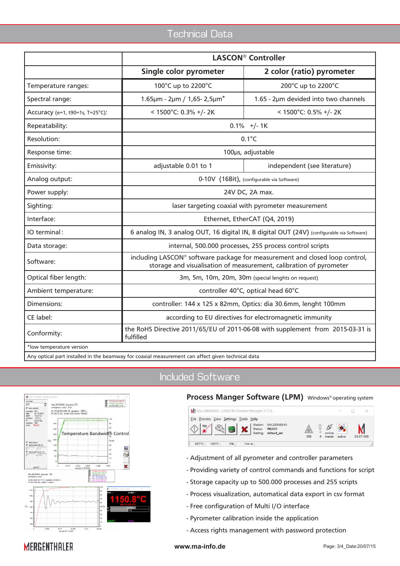# Technical Data

|                                 | <b>LASCON® Controller</b>                                                                                                                         |                                      |  |  |
|---------------------------------|---------------------------------------------------------------------------------------------------------------------------------------------------|--------------------------------------|--|--|
|                                 | Single color pyrometer                                                                                                                            | 2 color (ratio) pyrometer            |  |  |
| Temperature ranges:             | 100°C up to 2200°C                                                                                                                                | 200°C up to 2200°C                   |  |  |
| Spectral range:                 | 1.65µm - 2µm / 1,65-2,5µm*                                                                                                                        | 1.65 - 2µm devided into two channels |  |  |
| Accuracy (e=1, t90=1s, T=25°C): | < $1500^{\circ}$ C: 0.3% +/- 2K<br>< 1500°C: 0.5% +/- 2K                                                                                          |                                      |  |  |
| Repeatability:                  | $0.1\%$ +/- 1K                                                                                                                                    |                                      |  |  |
| Resolution:                     | $0.1^{\circ}C$                                                                                                                                    |                                      |  |  |
| Response time:                  | 100µs, adjustable                                                                                                                                 |                                      |  |  |
| Emissivity:                     | adjustable 0.01 to 1                                                                                                                              | independent (see literature)         |  |  |
| Analog output:                  | 0-10V (16Bit), (configurable via Software)                                                                                                        |                                      |  |  |
| Power supply:                   | 24V DC, 2A max.                                                                                                                                   |                                      |  |  |
| Sighting:                       | laser targeting coaxial with pyrometer measurement                                                                                                |                                      |  |  |
| Interface:                      | Ethernet, EtherCAT (Q4, 2019)                                                                                                                     |                                      |  |  |
| IO terminal:                    | 6 analog IN, 3 analog OUT, 16 digital IN, 8 digital OUT (24V) (configurable via Software)                                                         |                                      |  |  |
| Data storage:                   | internal, 500.000 processes, 255 process control scripts                                                                                          |                                      |  |  |
| Software:                       | including LASCON® software package for measurement and closed loop control,<br>storage and visualisation of measurement, calibration of pyrometer |                                      |  |  |
| Optical fiber length:           | 3m, 5m, 10m, 20m, 30m (special lenghts on request)                                                                                                |                                      |  |  |
| Ambient temperature:            | controller 40°C, optical head 60°C                                                                                                                |                                      |  |  |
| Dimensions:                     | controller: 144 x 125 x 82mm, Optics: dia 30.6mm, lenght 100mm                                                                                    |                                      |  |  |
| CE label:                       | according to EU directives for electromagnetic immunity                                                                                           |                                      |  |  |
| Conformity:                     | the RoHS Directive 2011/65/EU of 2011-06-08 with supplement from 2015-03-31 is<br>fulfilled                                                       |                                      |  |  |
| *low temperature version        |                                                                                                                                                   |                                      |  |  |
|                                 | Any optical part installed in the beamway for coaxial measurement can affect given technical data                                                 |                                      |  |  |

# Included Software



#### **Process Manger Software (LPM)** Windows® operating system

| M& MA-20030043 - LASCON Process Manager 2.17.6                                                                                    |     |                              | <b>COST</b> |           |  |
|-----------------------------------------------------------------------------------------------------------------------------------|-----|------------------------------|-------------|-----------|--|
| File Process View Settings Tools Help<br>Station:<br>MA-20030043<br>Pilot .<br>Status:<br><b>READY</b><br>default set<br>Setting: | 358 | online<br>$\Omega$<br>master | active      | 03.07.000 |  |
| 0%<br>100°C<br>857°C<br>144.45                                                                                                    |     |                              |             |           |  |

- Adjustment of all pyrometer and controller parameters
- Providing variety of control commands and functions for script
- Storage capacity up to 500.000 processes and 255 scripts
- Process visualization, automatical data export in csv format
- Free configuration of Multi I/O interface
- Pyrometer calibration inside the application
- Access rights management with password protection

# **MERGENTHALER**

#### **www.ma-info.de** Page: 3/4\_Date:20/07/15